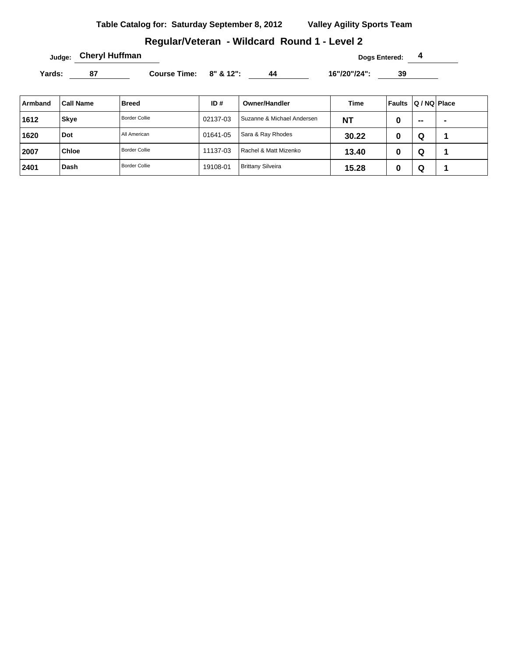### **Regular/Veteran - Wildcard Round 1 - Level 2**

**Judge: Cheryl Huffman Dogs Entered: 4** 

Yards: 87 Course Time: 8" & 12": 44 16"/20"/24": 39

| Armband | <b>Call Name</b> | <b>Breed</b>         | ID#      | <b>Owner/Handler</b>       | Time  | <b>Faults</b> | Q / NQ   Place |                |
|---------|------------------|----------------------|----------|----------------------------|-------|---------------|----------------|----------------|
| 1612    | <b>Skye</b>      | <b>Border Collie</b> | 02137-03 | Suzanne & Michael Andersen | ΝT    |               | $\sim$         | $\blacksquare$ |
| 1620    | Dot              | All American         | 01641-05 | Sara & Ray Rhodes          | 30.22 |               | Q              |                |
| 2007    | <b>Chloe</b>     | <b>Border Collie</b> | 11137-03 | Rachel & Matt Mizenko      | 13.40 |               | Q              |                |
| 2401    | Dash             | <b>Border Collie</b> | 19108-01 | <b>Brittany Silveira</b>   | 15.28 |               | Q              |                |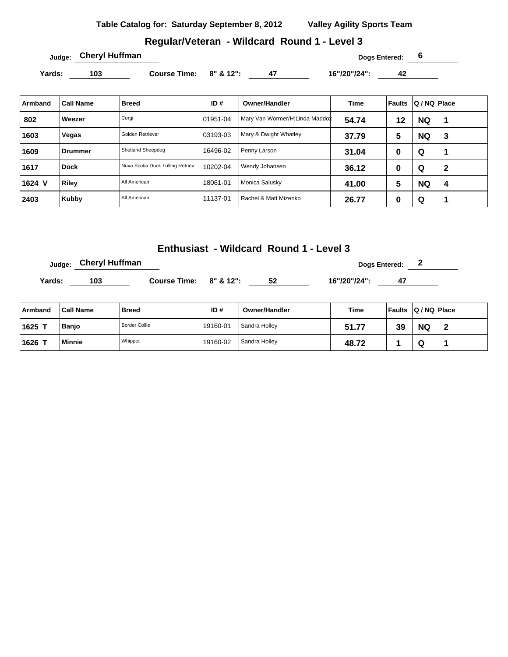**Table Catalog for: Saturday September 8, 2012 Valley Agility Sports Team**

#### **Regular/Veteran - Wildcard Round 1 - Level 3**

**Judge: Cheryl Huffman Dogs Entered: 6** 

Yards: 103 **Course Time: 8" & 12":** 47 16"/20"/24": 42

| Armband | <b>Call Name</b> | <b>Breed</b>                     | ID#      | <b>Owner/Handler</b>           | <b>Time</b> | <b>Faults</b> | Q / NQ   Place |   |
|---------|------------------|----------------------------------|----------|--------------------------------|-------------|---------------|----------------|---|
| 802     | Weezer           | Corgi                            | 01951-04 | Mary Van Wormer/H:Linda Maddox | 54.74       | 12            | <b>NQ</b>      | и |
| 1603    | Vegas            | Golden Retriever                 | 03193-03 | Mary & Dwight Whatley          | 37.79       | 5             | <b>NQ</b>      | 3 |
| 1609    | <b>Drummer</b>   | Shetland Sheepdog                | 16496-02 | Penny Larson                   | 31.04       | 0             | Q              |   |
| 1617    | <b>Dock</b>      | Nova Scotia Duck Tolling Retriev | 10202-04 | Wendy Johansen                 | 36.12       | 0             | Q              | 2 |
| 1624 V  | Riley            | All American                     | 18061-01 | Monica Salusky                 | 41.00       | 5             | <b>NQ</b>      | 4 |
| 2403    | Kubby            | All American                     | 11137-01 | Rachel & Matt Mizenko          | 26.77       | 0             | Q              |   |

### **Enthusiast - Wildcard Round 1 - Level 3**

**Dogs Entered: 2 Dogs Entered: 2 Yards: 103 Course Time: 8" & 12": 52 16"/20"/24": 47** 

| Armband | <b>Call Name</b> | <b>Breed</b>  | ID#      | <b>Owner/Handler</b> | <b>Time</b> | <b>Faults</b> | $ Q/NQ $ Place |  |
|---------|------------------|---------------|----------|----------------------|-------------|---------------|----------------|--|
| 1625 T  | <b>Banjo</b>     | Border Collie | 19160-01 | Sandra Holley        | 51.77       | 20<br>JJ      | <b>NQ</b>      |  |
| 1626    | <b>Minnie</b>    | Whippet       | 19160-02 | Sandra Holley        | 48.72       |               | ື              |  |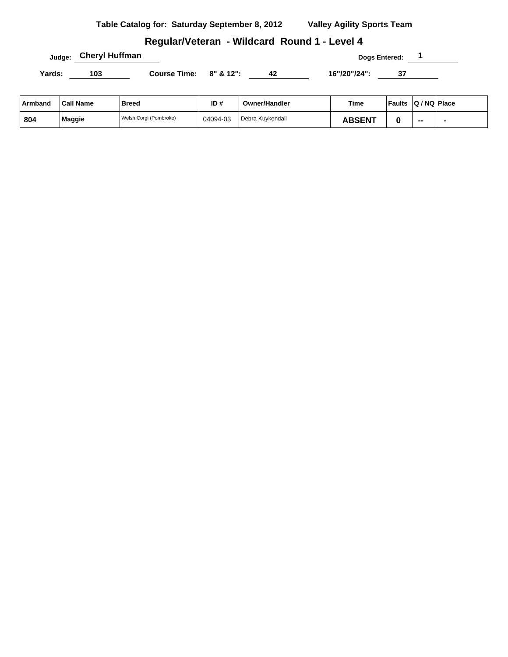| Table Catalog for: Saturday September 8, 2012 |  | <b>Valley Agility Sports Team</b> |
|-----------------------------------------------|--|-----------------------------------|
|                                               |  |                                   |

# **Regular/Veteran - Wildcard Round 1 - Level 4**

**Judge:** Cheryl Huffman **Cheryl Huffman Dogs Entered:** 1

Yards: 103 **Course Time:** 8" & 12": 42 16"/20"/24": 37

| Armband | <b>Call Name</b> | Breed                  | ID#      | <b>Owner/Handler</b> | Time          | <b>Faults</b> | $ Q/NQ $ Place |  |
|---------|------------------|------------------------|----------|----------------------|---------------|---------------|----------------|--|
| 804     | Maggie           | Welsh Corgi (Pembroke) | 04094-03 | Debra Kuvkendall     | <b>ABSENT</b> |               | $- -$          |  |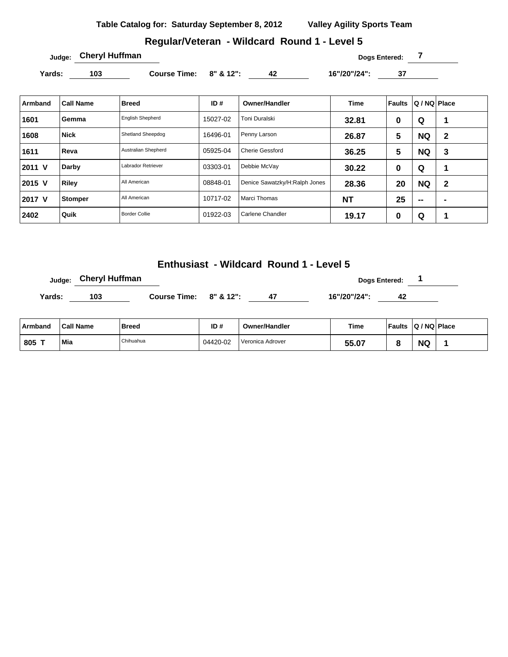**Table Catalog for: Saturday September 8, 2012 Valley Agility Sports Team**

# **Regular/Veteran - Wildcard Round 1 - Level 5**

Yards: 103 **Course Time: 8" & 12":** 42 16"/20"/24": 37

| Armband | <b>Call Name</b> | <b>Breed</b>            | ID#      | Owner/Handler                 | <b>Time</b> | Faults | Q / NQ   Place |                |
|---------|------------------|-------------------------|----------|-------------------------------|-------------|--------|----------------|----------------|
| 1601    | Gemma            | <b>English Shepherd</b> | 15027-02 | Toni Duralski                 | 32.81       | 0      | Q              |                |
| 1608    | <b>Nick</b>      | Shetland Sheepdog       | 16496-01 | Penny Larson                  | 26.87       | 5      | <b>NQ</b>      | $\mathbf{2}$   |
| 1611    | Reva             | Australian Shepherd     | 05925-04 | <b>Cherie Gessford</b>        | 36.25       | 5      | <b>NQ</b>      | 3              |
| 2011 V  | Darby            | Labrador Retriever      | 03303-01 | Debbie McVay                  | 30.22       | 0      | Q              |                |
| 2015 V  | Riley            | All American            | 08848-01 | Denice Sawatzky/H:Ralph Jones | 28.36       | 20     | <b>NQ</b>      | $\mathbf{2}$   |
| 2017 V  | Stomper          | All American            | 10717-02 | Marci Thomas                  | <b>NT</b>   | 25     | $\sim$         | $\blacksquare$ |
| 2402    | Quik             | <b>Border Collie</b>    | 01922-03 | Carlene Chandler              | 19.17       | 0      | Q              |                |

**Enthusiast - Wildcard Round 1 - Level 5**

|        | <sub>Judge:</sub> Cheryl Huffman |                        |     |              | <b>Dogs Entered:</b> |  |
|--------|----------------------------------|------------------------|-----|--------------|----------------------|--|
| Yards: | 103                              | Course Time: 8" & 12": | -47 | 16"/20"/24": | 42                   |  |

| ⊦Armband | <b>Call Name</b> | Breed     | ID#      | <b>Owner/Handler</b> | Time  | <b>Faults</b> | $ Q/NQ $ Place |  |
|----------|------------------|-----------|----------|----------------------|-------|---------------|----------------|--|
| 805 T    | Mia              | Chihuahua | 04420-02 | Veronica Adrover     | 55.07 |               | <b>NQ</b>      |  |